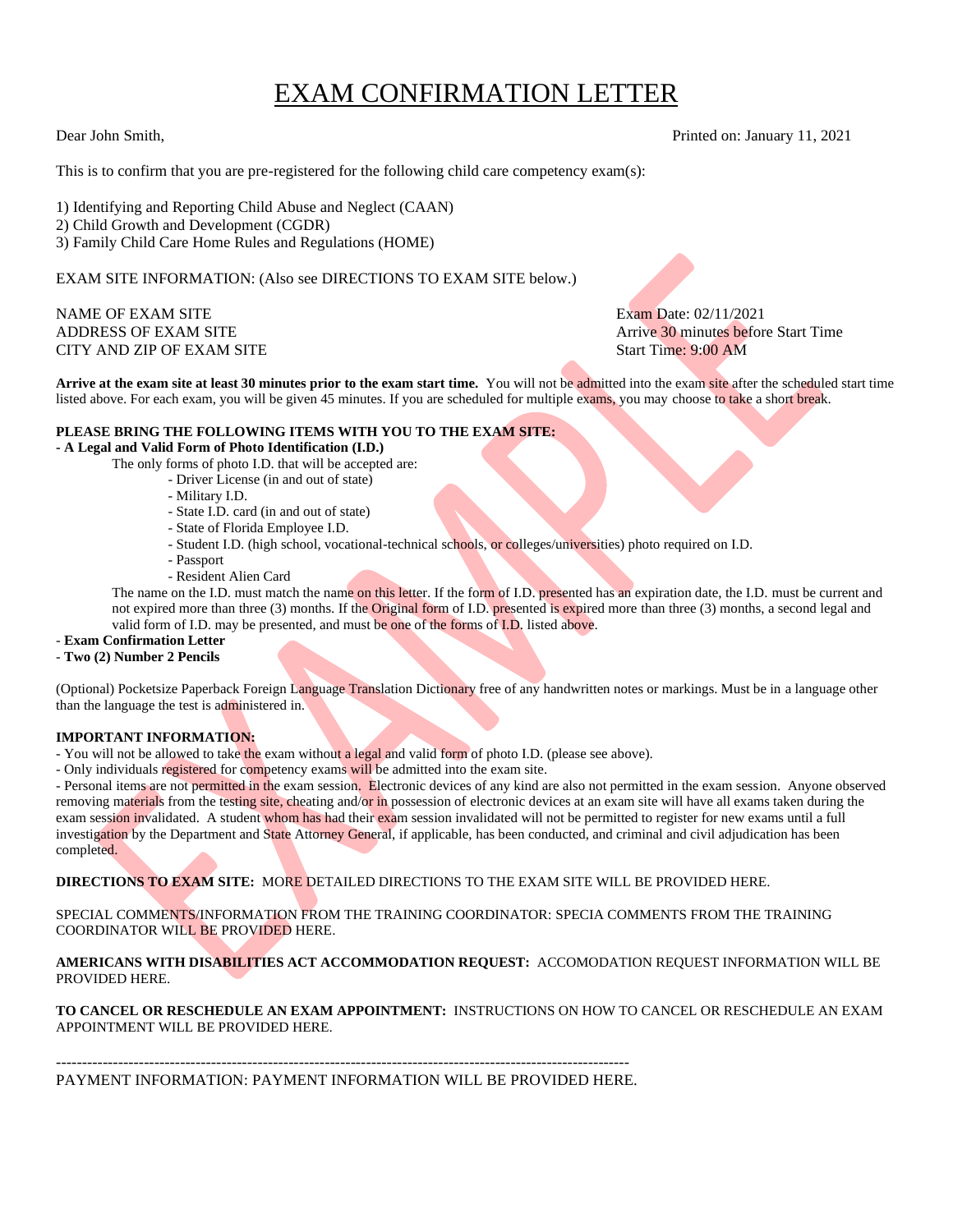# EXAM CONFIRMATION LETTER

Dear John Smith, Printed on: January 11, 2021

This is to confirm that you are pre-registered for the following child care competency exam(s):

1) Identifying and Reporting Child Abuse and Neglect (CAAN) 2) Child Growth and Development (CGDR) 3) Family Child Care Home Rules and Regulations (HOME)

EXAM SITE INFORMATION: (Also see DIRECTIONS TO EXAM SITE below.)

# NAME OF EXAM SITE EXAM SITE EXAM SITE CITY AND ZIP OF EXAM SITE START TIME: 9:00 AM

ADDRESS OF EXAM SITE Arrive 30 minutes before Start Time

**Arrive at the exam site at least 30 minutes prior to the exam start time.** You will not be admitted into the exam site after the scheduled start time listed above. For each exam, you will be given 45 minutes. If you are scheduled for multiple exams, you may choose to take a short break.

#### **PLEASE BRING THE FOLLOWING ITEMS WITH YOU TO THE EXAM SITE:**

#### **- A Legal and Valid Form of Photo Identification (I.D.)**

- The only forms of photo I.D. that will be accepted are:
	- Driver License (in and out of state)
		- Military I.D.
		- State I.D. card (in and out of state)
		- State of Florida Employee I.D.
		- Student I.D. (high school, vocational-technical schools, or colleges/universities) photo required on I.D.
		- Passport
		- Resident Alien Card

The name on the I.D. must match the name on this letter. If the form of I.D. presented has an expiration date, the I.D. must be current and not expired more than three (3) months. If the Original form of I.D. presented is expired more than three (3) months, a second legal and valid form of I.D. may be presented, and must be one of the forms of I.D. listed above.

### - **Exam Confirmation Letter**

#### - **Two (2) Number 2 Pencils**

(Optional) Pocketsize Paperback Foreign Language Translation Dictionary free of any handwritten notes or markings. Must be in a language other than the language the test is administered in.

# **IMPORTANT INFORMATION:**

- You will not be allowed to take the exam without a legal and valid form of photo I.D. (please see above).

- Only individuals registered for competency exams will be admitted into the exam site.

- Personal items are not permitted in the exam session. Electronic devices of any kind are also not permitted in the exam session. Anyone observed removing materials from the testing site, cheating and/or in possession of electronic devices at an exam site will have all exams taken during the exam session invalidated. A student whom has had their exam session invalidated will not be permitted to register for new exams until a full investigation by the Department and State Attorney General, if applicable, has been conducted, and criminal and civil adjudication has been completed.

**DIRECTIONS TO EXAM SITE:** MORE DETAILED DIRECTIONS TO THE EXAM SITE WILL BE PROVIDED HERE.

SPECIAL COMMENTS/INFORMATION FROM THE TRAINING COORDINATOR: SPECIA COMMENTS FROM THE TRAINING COORDINATOR WILL BE PROVIDED HERE.

**AMERICANS WITH DISABILITIES ACT ACCOMMODATION REQUEST:** ACCOMODATION REQUEST INFORMATION WILL BE PROVIDED HERE.

**TO CANCEL OR RESCHEDULE AN EXAM APPOINTMENT:** INSTRUCTIONS ON HOW TO CANCEL OR RESCHEDULE AN EXAM APPOINTMENT WILL BE PROVIDED HERE.

---------------------------------------------------------------------------------------------------------------

PAYMENT INFORMATION: PAYMENT INFORMATION WILL BE PROVIDED HERE.